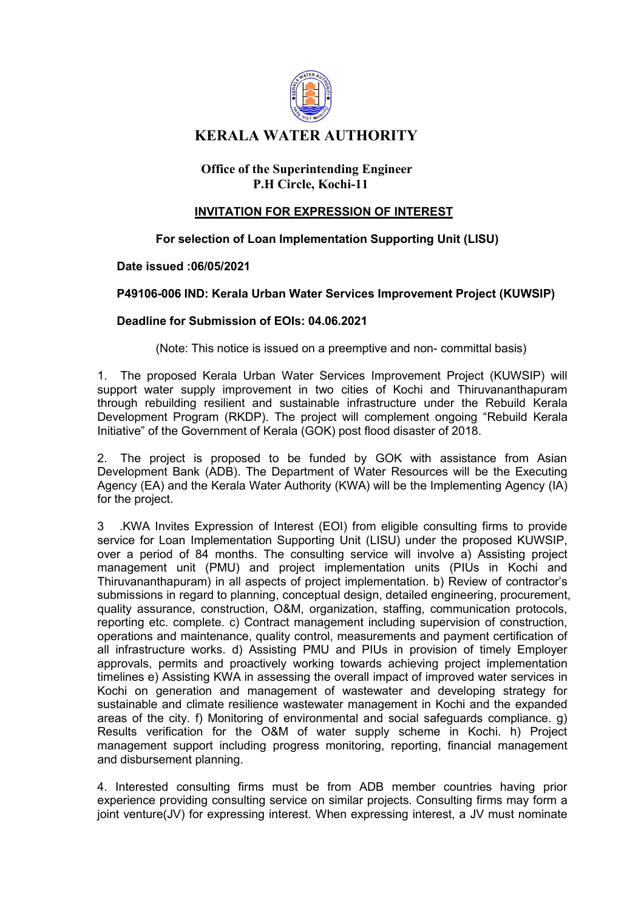

# **KERALA WATER AUTHORITY**

# **Office of the Superintending Engineer P.H Circle, Kochi-11**

# **INVITATION FOR EXPRESSION OF INTEREST**

# **For selection of Loan Implementation Supporting Unit (LISU)**

#### **Date issued :06/05/2021**

#### **P49106-006 IND: Kerala Urban Water Services Improvement Project (KUWSIP)**

#### **Deadline for Submission of EOIs: 04.06.2021**

(Note: This notice is issued on a preemptive and non- committal basis)

1. The proposed Kerala Urban Water Services Improvement Project (KUWSIP) will support water supply improvement in two cities of Kochi and Thiruvananthapuram through rebuilding resilient and sustainable infrastructure under the Rebuild Kerala Development Program (RKDP). The project will complement ongoing "Rebuild Kerala Initiative" of the Government of Kerala (GOK) post flood disaster of 2018.

2. The project is proposed to be funded by GOK with assistance from Asian Development Bank (ADB). The Department of Water Resources will be the Executing Agency (EA) and the Kerala Water Authority (KWA) will be the Implementing Agency (IA) for the project.

3 .KWA Invites Expression of Interest (EOI) from eligible consulting firms to provide service for Loan Implementation Supporting Unit (LISU) under the proposed KUWSIP, over a period of 84 months. The consulting service will involve a) Assisting project management unit (PMU) and project implementation units (PIUs in Kochi and Thiruvananthapuram) in all aspects of project implementation. b) Review of contractor's submissions in regard to planning, conceptual design, detailed engineering, procurement, quality assurance, construction, O&M, organization, staffing, communication protocols, reporting etc. complete. c) Contract management including supervision of construction, operations and maintenance, quality control, measurements and payment certification of all infrastructure works. d) Assisting PMU and PIUs in provision of timely Employer approvals, permits and proactively working towards achieving project implementation timelines e) Assisting KWA in assessing the overall impact of improved water services in Kochi on generation and management of wastewater and developing strategy for sustainable and climate resilience wastewater management in Kochi and the expanded areas of the city. f) Monitoring of environmental and social safeguards compliance. g) Results verification for the O&M of water supply scheme in Kochi. h) Project management support including progress monitoring, reporting, financial management and disbursement planning.

4. Interested consulting firms must be from ADB member countries having prior experience providing consulting service on similar projects. Consulting firms may form a joint venture(JV) for expressing interest. When expressing interest, a JV must nominate